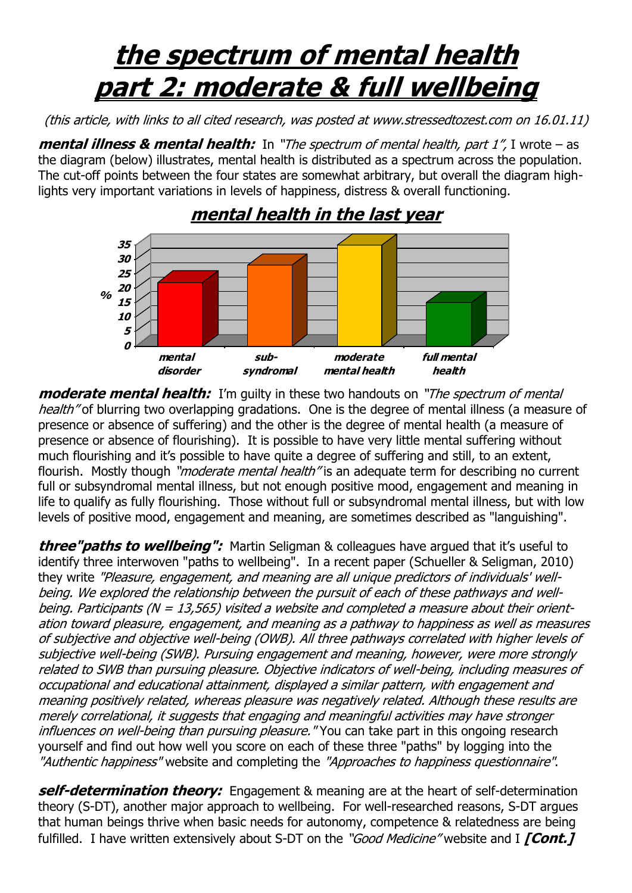## **the spectrum of mental health part 2: moderate & full wellbeing**

(this article, with links to all cited research, was posted at www.stressedtozest.com on 16.01.11)

**mental illness & mental health:** In "The spectrum of mental health, part 1", I wrote – as the diagram (below) illustrates, mental health is distributed as a spectrum across the population. The cut-off points between the four states are somewhat arbitrary, but overall the diagram highlights very important variations in levels of happiness, distress & overall functioning.



**moderate mental health:** I'm quilty in these two handouts on "*The spectrum of mental* health" of blurring two overlapping gradations. One is the degree of mental illness (a measure of presence or absence of suffering) and the other is the degree of mental health (a measure of

presence or absence of flourishing). It is possible to have very little mental suffering without much flourishing and it's possible to have quite a degree of suffering and still, to an extent, flourish. Mostly though "*moderate mental health*" is an adequate term for describing no current full or subsyndromal mental illness, but not enough positive mood, engagement and meaning in life to qualify as fully flourishing. Those without full or subsyndromal mental illness, but with low levels of positive mood, engagement and meaning, are sometimes described as "languishing".

**three"paths to wellbeing":** Martin Seligman & colleagues have argued that it's useful to identify three interwoven "paths to wellbeing". In a recent paper (Schueller & Seligman, 2010) they write "Pleasure, engagement, and meaning are all unique predictors of individuals' wellbeing. We explored the relationship between the pursuit of each of these pathways and wellbeing. Participants (N = 13,565) visited a website and completed a measure about their orientation toward pleasure, engagement, and meaning as a pathway to happiness as well as measures of subjective and objective well-being (OWB). All three pathways correlated with higher levels of subjective well-being (SWB). Pursuing engagement and meaning, however, were more strongly related to SWB than pursuing pleasure. Objective indicators of well-being, including measures of occupational and educational attainment, displayed a similar pattern, with engagement and meaning positively related, whereas pleasure was negatively related. Although these results are merely correlational, it suggests that engaging and meaningful activities may have stronger influences on well-being than pursuing pleasure. "You can take part in this ongoing research yourself and find out how well you score on each of these three "paths" by logging into the "Authentic happiness" website and completing the "Approaches to happiness questionnaire".

**self-determination theory:** Engagement & meaning are at the heart of self-determination theory (S-DT), another major approach to wellbeing. For well-researched reasons, S-DT argues that human beings thrive when basic needs for autonomy, competence & relatedness are being fulfilled. I have written extensively about S-DT on the "Good Medicine" website and I *[Cont.]*